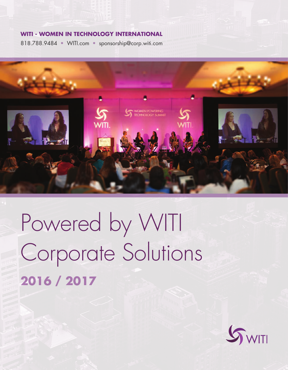#### **WITI - WOMEN IN TECHNOLOGY INTERNATIONAL**

818.788.9484 • WITI.com • sponsorship@corp.witi.com



# Powered by WITI Corporate Solutions **2016 / 2017**

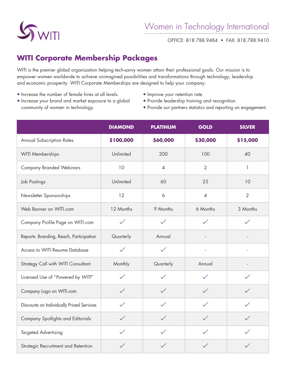

OFFICE: 818.788.9484 • FAX: 818.788.9410

### **WITI Corporate Membership Packages**

WITI is the premier global organization helping tech-savvy women attain their professional goals. Our mission is to empower women worldwide to achieve unimagined possibilities and transformations through technology, leadership and economic prosperity. WITI Corporate Memberships are designed to help your company:

- Increase the number of female hires at all levels.
- Improve your retention rate.
- Increase your brand and market exposure to a global community of women in technology.
- Provide leadership training and recognition.
- Provide our partners statistics and reporting on engagement.

|                                           | <b>DIAMOND</b> | <b>PLATINUM</b> | <b>GOLD</b>    | <b>SILVER</b>  |
|-------------------------------------------|----------------|-----------------|----------------|----------------|
| <b>Annual Subscription Rates</b>          | \$100,000      | \$60,000        | \$30,000       | \$15,000       |
| <b>WITI Memberships</b>                   | Unlimited      | 200             | 100            | 40             |
| <b>Company Branded Webinars</b>           | 10             | $\overline{4}$  | $\overline{2}$ | 1              |
| Job Postings                              | Unlimited      | 60              | 25             | 10             |
| Newsletter Sponsorships                   | 12             | 6               | $\overline{4}$ | $\overline{2}$ |
| Web Banner on WITI.com                    | 12 Months      | 9 Months        | 6 Months       | 3 Months       |
| Company Profile Page on WITI.com          | $\checkmark$   | $\checkmark$    | $\checkmark$   | $\checkmark$   |
| Reports: Branding, Reach, Participation   | Quarterly      | Annual          |                |                |
| Access to WITI Resume Database            | $\checkmark$   | $\checkmark$    |                |                |
| Strategy Call with WITI Consultant        | Monthly        | Quarterly       | Annual         |                |
| Licensed Use of "Powered by WITI"         | $\checkmark$   | $\checkmark$    | $\checkmark$   | $\checkmark$   |
| Company Logo on WITI.com                  | $\checkmark$   | $\checkmark$    | $\checkmark$   | $\checkmark$   |
| Discounts on Individually Priced Services | $\checkmark$   | $\checkmark$    | $\checkmark$   | $\checkmark$   |
| Company Spotlights and Editorials         | $\checkmark$   | $\checkmark$    | $\checkmark$   | $\checkmark$   |
| <b>Targeted Advertising</b>               | $\checkmark$   | $\diagup$       | $\checkmark$   | $\checkmark$   |
| Strategic Recruitment and Retention       | $\checkmark$   | $\checkmark$    |                | $\checkmark$   |